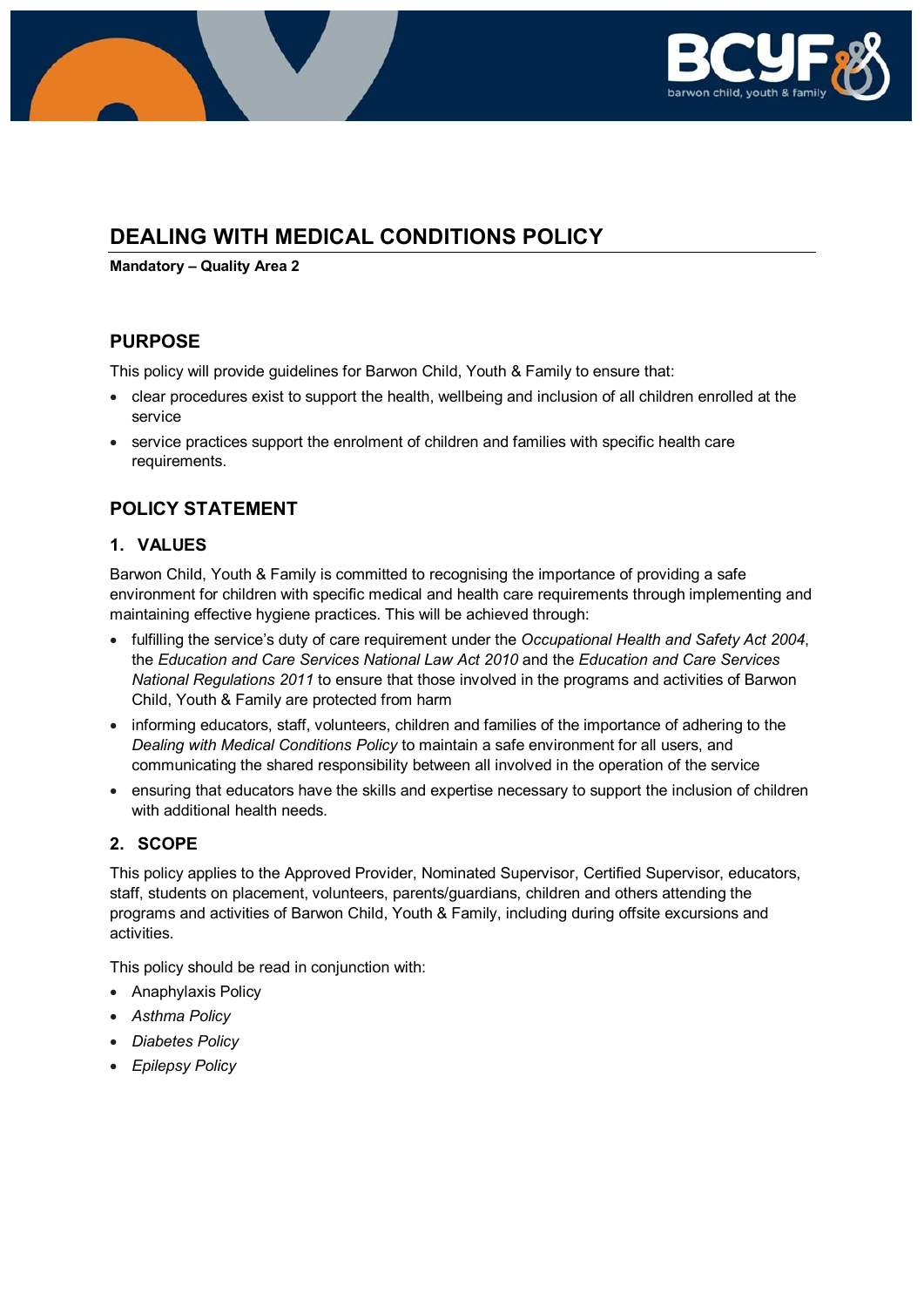

# **DEALING WITH MEDICAL CONDITIONS POLICY**

**Mandatory – Quality Area 2**

# **PURPOSE**

This policy will provide guidelines for Barwon Child, Youth & Family to ensure that:

- clear procedures exist to support the health, wellbeing and inclusion of all children enrolled at the service
- service practices support the enrolment of children and families with specific health care requirements.

# **POLICY STATEMENT**

### **1. VALUES**

Barwon Child, Youth & Family is committed to recognising the importance of providing a safe environment for children with specific medical and health care requirements through implementing and maintaining effective hygiene practices. This will be achieved through:

- fulfilling the service's duty of care requirement under the *Occupational Health and Safety Act 2004*, the *Education and Care Services National Law Act 2010* and the *Education and Care Services National Regulations 2011* to ensure that those involved in the programs and activities of Barwon Child, Youth & Family are protected from harm
- informing educators, staff, volunteers, children and families of the importance of adhering to the *Dealing with Medical Conditions Policy* to maintain a safe environment for all users, and communicating the shared responsibility between all involved in the operation of the service
- ensuring that educators have the skills and expertise necessary to support the inclusion of children with additional health needs.

### **2. SCOPE**

This policy applies to the Approved Provider, Nominated Supervisor, Certified Supervisor, educators, staff, students on placement, volunteers, parents/guardians, children and others attending the programs and activities of Barwon Child, Youth & Family, including during offsite excursions and activities.

This policy should be read in conjunction with:

- Anaphylaxis Policy
- *Asthma Policy*
- *Diabetes Policy*
- *Epilepsy Policy*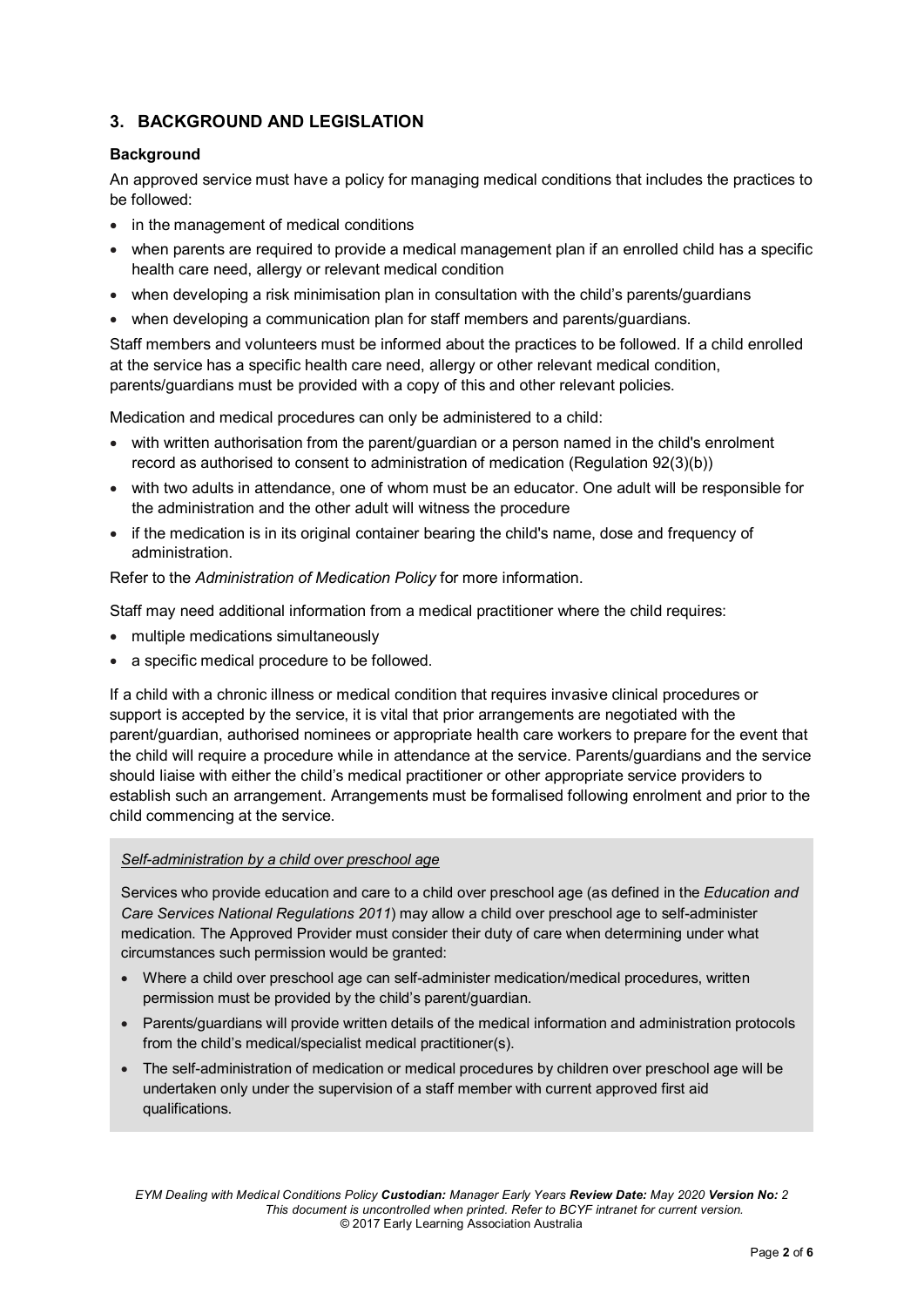### **3. BACKGROUND AND LEGISLATION**

#### **Background**

An approved service must have a policy for managing medical conditions that includes the practices to be followed:

- in the management of medical conditions
- when parents are required to provide a medical management plan if an enrolled child has a specific health care need, allergy or relevant medical condition
- when developing a risk minimisation plan in consultation with the child's parents/guardians
- when developing a communication plan for staff members and parents/guardians.

Staff members and volunteers must be informed about the practices to be followed. If a child enrolled at the service has a specific health care need, allergy or other relevant medical condition, parents/guardians must be provided with a copy of this and other relevant policies.

Medication and medical procedures can only be administered to a child:

- with written authorisation from the parent/guardian or a person named in the child's enrolment record as authorised to consent to administration of medication (Regulation 92(3)(b))
- with two adults in attendance, one of whom must be an educator. One adult will be responsible for the administration and the other adult will witness the procedure
- if the medication is in its original container bearing the child's name, dose and frequency of administration.

Refer to the *Administration of Medication Policy* for more information.

Staff may need additional information from a medical practitioner where the child requires:

- multiple medications simultaneously
- a specific medical procedure to be followed.

If a child with a chronic illness or medical condition that requires invasive clinical procedures or support is accepted by the service, it is vital that prior arrangements are negotiated with the parent/guardian, authorised nominees or appropriate health care workers to prepare for the event that the child will require a procedure while in attendance at the service. Parents/guardians and the service should liaise with either the child's medical practitioner or other appropriate service providers to establish such an arrangement. Arrangements must be formalised following enrolment and prior to the child commencing at the service.

#### *Self-administration by a child over preschool age*

Services who provide education and care to a child over preschool age (as defined in the *Education and Care Services National Regulations 2011*) may allow a child over preschool age to self-administer medication. The Approved Provider must consider their duty of care when determining under what circumstances such permission would be granted:

- Where a child over preschool age can self-administer medication/medical procedures, written permission must be provided by the child's parent/guardian.
- Parents/guardians will provide written details of the medical information and administration protocols from the child's medical/specialist medical practitioner(s).
- The self-administration of medication or medical procedures by children over preschool age will be undertaken only under the supervision of a staff member with current approved first aid qualifications.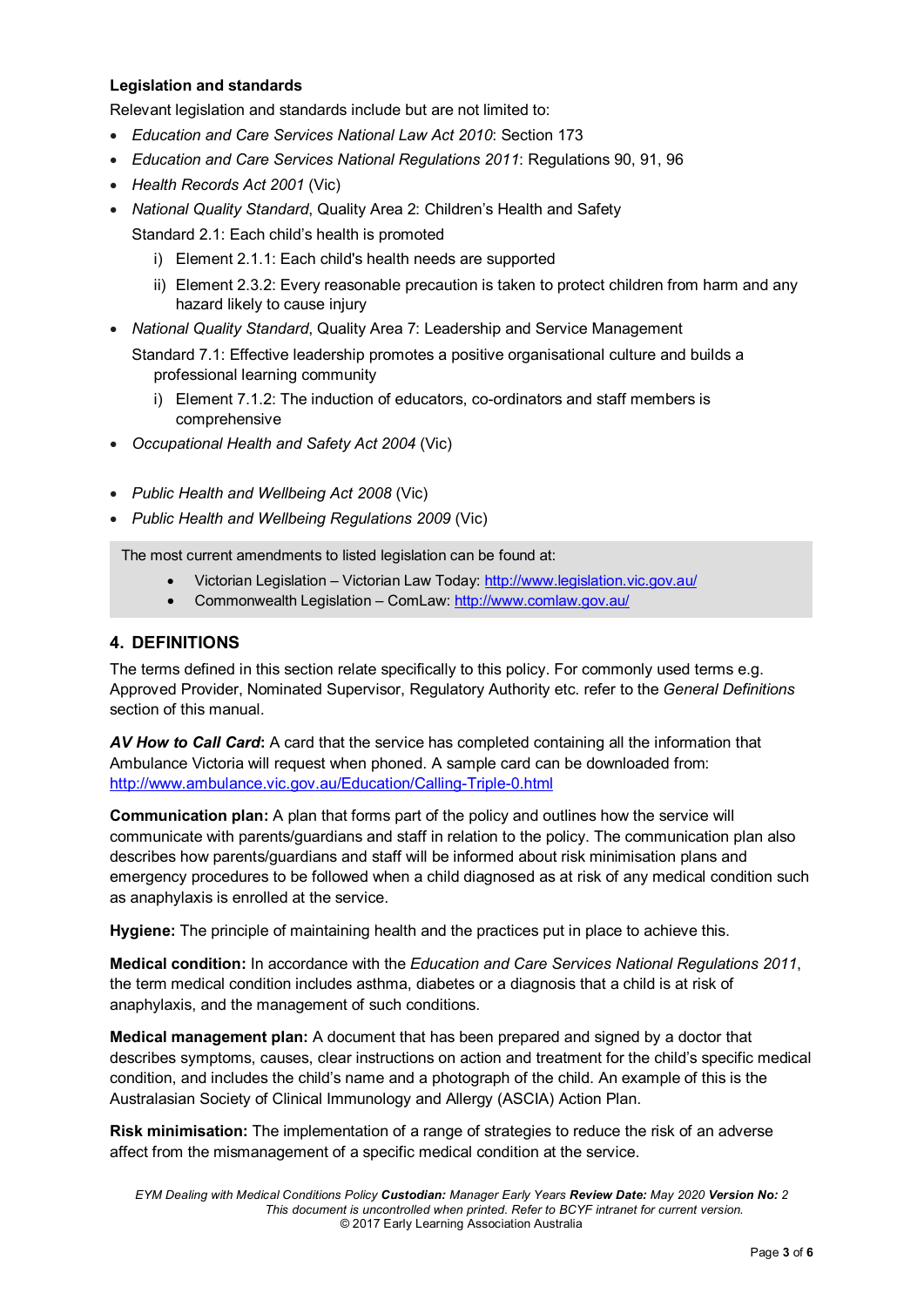#### **Legislation and standards**

Relevant legislation and standards include but are not limited to:

- *Education and Care Services National Law Act 2010*: Section 173
- *Education and Care Services National Regulations 2011*: Regulations 90, 91, 96
- *Health Records Act 2001* (Vic)
- *National Quality Standard*, Quality Area 2: Children's Health and Safety

Standard 2.1: Each child's health is promoted

- i) Element 2.1.1: Each child's health needs are supported
- ii) Element 2.3.2: Every reasonable precaution is taken to protect children from harm and any hazard likely to cause injury
- *National Quality Standard*, Quality Area 7: Leadership and Service Management

Standard 7.1: Effective leadership promotes a positive organisational culture and builds a professional learning community

- i) Element 7.1.2: The induction of educators, co-ordinators and staff members is comprehensive
- *Occupational Health and Safety Act 2004* (Vic)
- *Public Health and Wellbeing Act 2008* (Vic)
- *Public Health and Wellbeing Regulations 2009* (Vic)

The most current amendments to listed legislation can be found at:

- Victorian Legislation Victorian Law Today:<http://www.legislation.vic.gov.au/>
- Commonwealth Legislation ComLaw:<http://www.comlaw.gov.au/>

#### **4. DEFINITIONS**

The terms defined in this section relate specifically to this policy. For commonly used terms e.g. Approved Provider, Nominated Supervisor, Regulatory Authority etc. refer to the *General Definitions* section of this manual.

*AV How to Call Card***:** A card that the service has completed containing all the information that Ambulance Victoria will request when phoned. A sample card can be downloaded from: <http://www.ambulance.vic.gov.au/Education/Calling-Triple-0.html>

**Communication plan:** A plan that forms part of the policy and outlines how the service will communicate with parents/guardians and staff in relation to the policy. The communication plan also describes how parents/guardians and staff will be informed about risk minimisation plans and emergency procedures to be followed when a child diagnosed as at risk of any medical condition such as anaphylaxis is enrolled at the service.

**Hygiene:** The principle of maintaining health and the practices put in place to achieve this.

**Medical condition:** In accordance with the *Education and Care Services National Regulations 2011*, the term medical condition includes asthma, diabetes or a diagnosis that a child is at risk of anaphylaxis, and the management of such conditions.

**Medical management plan:** A document that has been prepared and signed by a doctor that describes symptoms, causes, clear instructions on action and treatment for the child's specific medical condition, and includes the child's name and a photograph of the child. An example of this is the Australasian Society of Clinical Immunology and Allergy (ASCIA) Action Plan.

**Risk minimisation:** The implementation of a range of strategies to reduce the risk of an adverse affect from the mismanagement of a specific medical condition at the service.

*EYM Dealing with Medical Conditions Policy Custodian: Manager Early Years Review Date: May 2020 Version No: 2 This document is uncontrolled when printed. Refer to BCYF intranet for current version.* © 2017 Early Learning Association Australia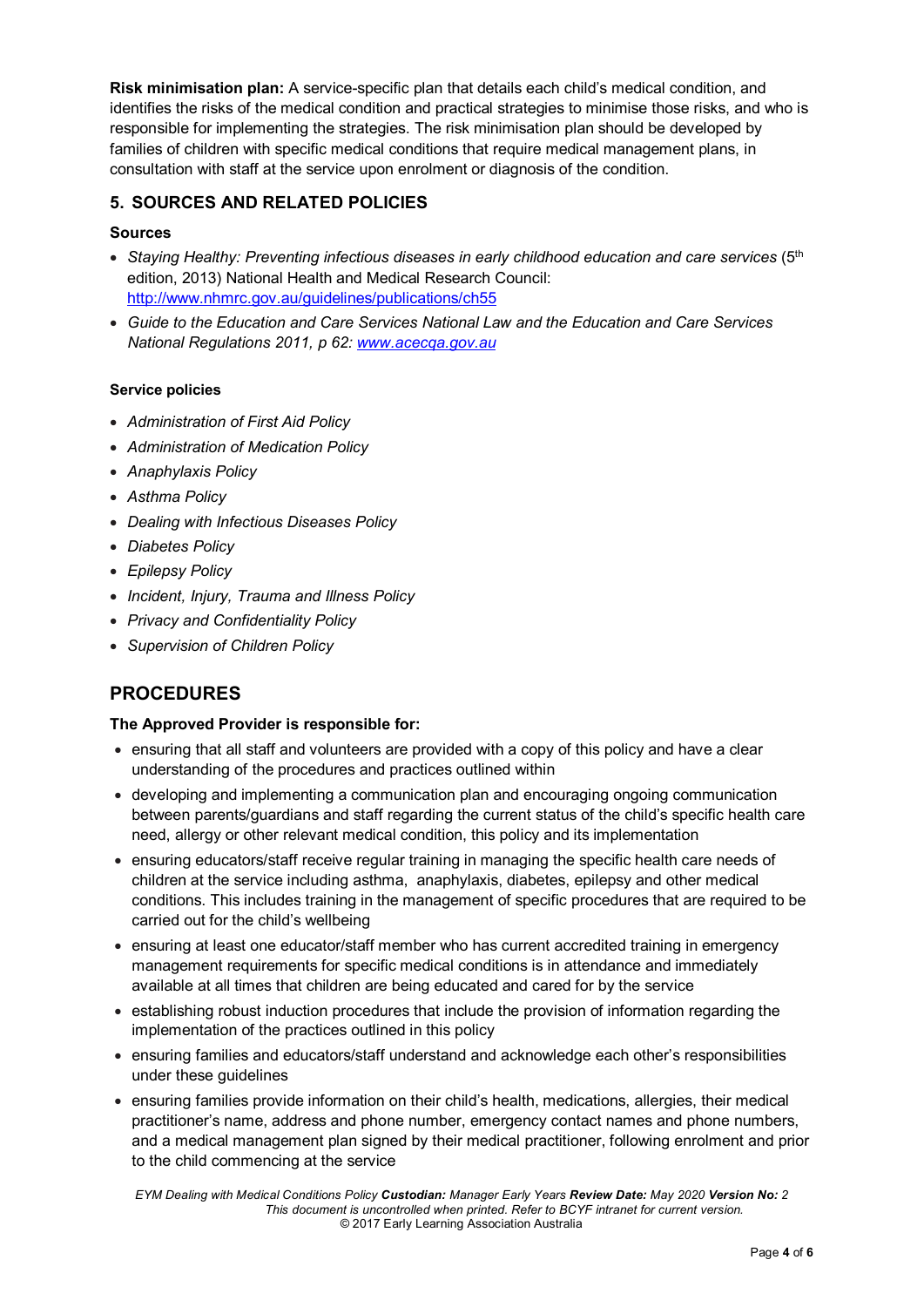**Risk minimisation plan:** A service-specific plan that details each child's medical condition, and identifies the risks of the medical condition and practical strategies to minimise those risks, and who is responsible for implementing the strategies. The risk minimisation plan should be developed by families of children with specific medical conditions that require medical management plans, in consultation with staff at the service upon enrolment or diagnosis of the condition.

### **5. SOURCES AND RELATED POLICIES**

#### **Sources**

- *Staying Healthy: Preventing infectious diseases in early childhood education and care services* (5th edition, 2013) National Health and Medical Research Council: <http://www.nhmrc.gov.au/guidelines/publications/ch55>
- *Guide to the Education and Care Services National Law and the Education and Care Services National Regulations 2011, p 62: [www.acecqa.gov.au](http://www.acecqa.gov.au/)*

#### **Service policies**

- *Administration of First Aid Policy*
- *Administration of Medication Policy*
- *Anaphylaxis Policy*
- *Asthma Policy*
- *Dealing with Infectious Diseases Policy*
- *Diabetes Policy*
- *Epilepsy Policy*
- *Incident, Injury, Trauma and Illness Policy*
- *Privacy and Confidentiality Policy*
- *Supervision of Children Policy*

# **PROCEDURES**

#### **The Approved Provider is responsible for:**

- ensuring that all staff and volunteers are provided with a copy of this policy and have a clear understanding of the procedures and practices outlined within
- developing and implementing a communication plan and encouraging ongoing communication between parents/guardians and staff regarding the current status of the child's specific health care need, allergy or other relevant medical condition, this policy and its implementation
- ensuring educators/staff receive regular training in managing the specific health care needs of children at the service including asthma, anaphylaxis, diabetes, epilepsy and other medical conditions. This includes training in the management of specific procedures that are required to be carried out for the child's wellbeing
- ensuring at least one educator/staff member who has current accredited training in emergency management requirements for specific medical conditions is in attendance and immediately available at all times that children are being educated and cared for by the service
- establishing robust induction procedures that include the provision of information regarding the implementation of the practices outlined in this policy
- ensuring families and educators/staff understand and acknowledge each other's responsibilities under these guidelines
- ensuring families provide information on their child's health, medications, allergies, their medical practitioner's name, address and phone number, emergency contact names and phone numbers, and a medical management plan signed by their medical practitioner, following enrolment and prior to the child commencing at the service

*EYM Dealing with Medical Conditions Policy Custodian: Manager Early Years Review Date: May 2020 Version No: 2 This document is uncontrolled when printed. Refer to BCYF intranet for current version.* © 2017 Early Learning Association Australia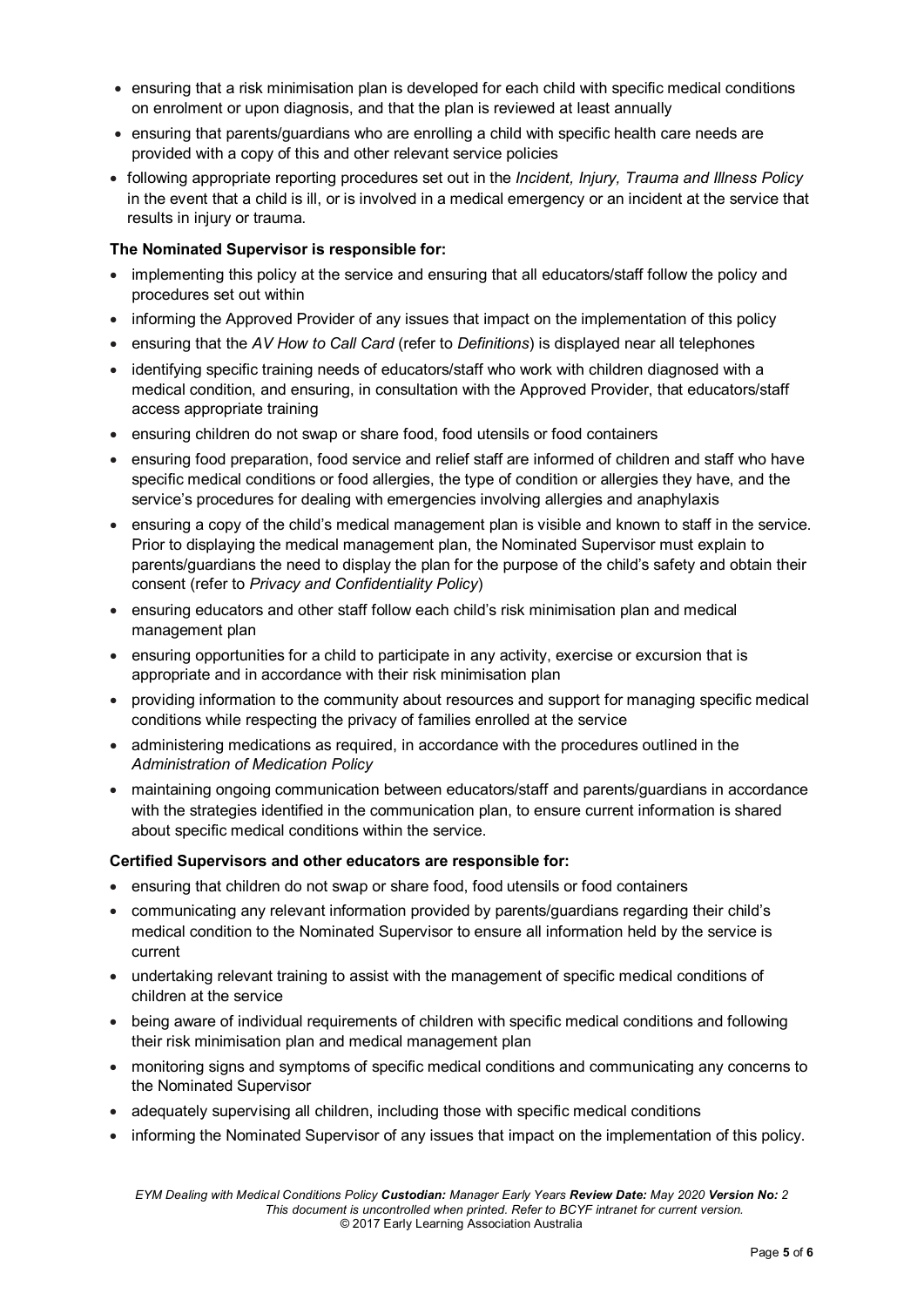- ensuring that a risk minimisation plan is developed for each child with specific medical conditions on enrolment or upon diagnosis, and that the plan is reviewed at least annually
- ensuring that parents/guardians who are enrolling a child with specific health care needs are provided with a copy of this and other relevant service policies
- following appropriate reporting procedures set out in the *Incident, Injury, Trauma and Illness Policy* in the event that a child is ill, or is involved in a medical emergency or an incident at the service that results in injury or trauma.

#### **The Nominated Supervisor is responsible for:**

- implementing this policy at the service and ensuring that all educators/staff follow the policy and procedures set out within
- informing the Approved Provider of any issues that impact on the implementation of this policy
- ensuring that the *AV How to Call Card* (refer to *Definitions*) is displayed near all telephones
- identifying specific training needs of educators/staff who work with children diagnosed with a medical condition, and ensuring, in consultation with the Approved Provider, that educators/staff access appropriate training
- ensuring children do not swap or share food, food utensils or food containers
- ensuring food preparation, food service and relief staff are informed of children and staff who have specific medical conditions or food allergies, the type of condition or allergies they have, and the service's procedures for dealing with emergencies involving allergies and anaphylaxis
- ensuring a copy of the child's medical management plan is visible and known to staff in the service. Prior to displaying the medical management plan, the Nominated Supervisor must explain to parents/guardians the need to display the plan for the purpose of the child's safety and obtain their consent (refer to *Privacy and Confidentiality Policy*)
- ensuring educators and other staff follow each child's risk minimisation plan and medical management plan
- ensuring opportunities for a child to participate in any activity, exercise or excursion that is appropriate and in accordance with their risk minimisation plan
- providing information to the community about resources and support for managing specific medical conditions while respecting the privacy of families enrolled at the service
- administering medications as required, in accordance with the procedures outlined in the *Administration of Medication Policy*
- maintaining ongoing communication between educators/staff and parents/guardians in accordance with the strategies identified in the communication plan, to ensure current information is shared about specific medical conditions within the service.

#### **Certified Supervisors and other educators are responsible for:**

- ensuring that children do not swap or share food, food utensils or food containers
- communicating any relevant information provided by parents/guardians regarding their child's medical condition to the Nominated Supervisor to ensure all information held by the service is current
- undertaking relevant training to assist with the management of specific medical conditions of children at the service
- being aware of individual requirements of children with specific medical conditions and following their risk minimisation plan and medical management plan
- monitoring signs and symptoms of specific medical conditions and communicating any concerns to the Nominated Supervisor
- adequately supervising all children, including those with specific medical conditions
- informing the Nominated Supervisor of any issues that impact on the implementation of this policy.